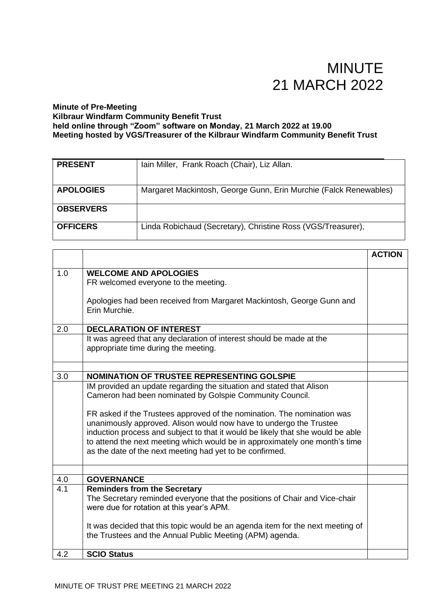#### **Minute of Pre-Meeting Kilbraur Windfarm Community Benefit Trust held online through "Zoom" software on Monday, 21 March 2022 at 19.00 Meeting hosted by VGS/Treasurer of the Kilbraur Windfarm Community Benefit Trust**

| <b>PRESENT</b>   | Iain Miller, Frank Roach (Chair), Liz Allan.                      |
|------------------|-------------------------------------------------------------------|
| <b>APOLOGIES</b> | Margaret Mackintosh, George Gunn, Erin Murchie (Falck Renewables) |
| <b>OBSERVERS</b> |                                                                   |
| <b>OFFICERS</b>  | Linda Robichaud (Secretary), Christine Ross (VGS/Treasurer),      |

|     |                                                                                                                                                                                                                                                                                                                                                                             | <b>ACTION</b> |
|-----|-----------------------------------------------------------------------------------------------------------------------------------------------------------------------------------------------------------------------------------------------------------------------------------------------------------------------------------------------------------------------------|---------------|
| 1.0 | <b>WELCOME AND APOLOGIES</b><br>FR welcomed everyone to the meeting.                                                                                                                                                                                                                                                                                                        |               |
|     | Apologies had been received from Margaret Mackintosh, George Gunn and<br>Erin Murchie.                                                                                                                                                                                                                                                                                      |               |
| 2.0 | <b>DECLARATION OF INTEREST</b>                                                                                                                                                                                                                                                                                                                                              |               |
|     | It was agreed that any declaration of interest should be made at the<br>appropriate time during the meeting.                                                                                                                                                                                                                                                                |               |
|     |                                                                                                                                                                                                                                                                                                                                                                             |               |
| 3.0 | <b>NOMINATION OF TRUSTEE REPRESENTING GOLSPIE</b>                                                                                                                                                                                                                                                                                                                           |               |
|     | IM provided an update regarding the situation and stated that Alison<br>Cameron had been nominated by Golspie Community Council.                                                                                                                                                                                                                                            |               |
|     | FR asked if the Trustees approved of the nomination. The nomination was<br>unanimously approved. Alison would now have to undergo the Trustee<br>induction process and subject to that it would be likely that she would be able<br>to attend the next meeting which would be in approximately one month's time<br>as the date of the next meeting had yet to be confirmed. |               |
|     |                                                                                                                                                                                                                                                                                                                                                                             |               |
| 4.0 | <b>GOVERNANCE</b>                                                                                                                                                                                                                                                                                                                                                           |               |
| 4.1 | <b>Reminders from the Secretary</b><br>The Secretary reminded everyone that the positions of Chair and Vice-chair<br>were due for rotation at this year's APM.                                                                                                                                                                                                              |               |
|     | It was decided that this topic would be an agenda item for the next meeting of<br>the Trustees and the Annual Public Meeting (APM) agenda.                                                                                                                                                                                                                                  |               |
| 4.2 | <b>SCIO Status</b>                                                                                                                                                                                                                                                                                                                                                          |               |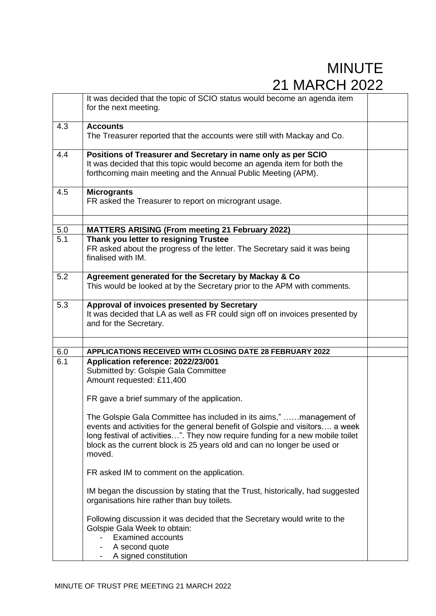|                  | It was decided that the topic of SCIO status would become an agenda item<br>for the next meeting.                                                                                                                                                                                                                          |  |
|------------------|----------------------------------------------------------------------------------------------------------------------------------------------------------------------------------------------------------------------------------------------------------------------------------------------------------------------------|--|
| 4.3              | <b>Accounts</b><br>The Treasurer reported that the accounts were still with Mackay and Co.                                                                                                                                                                                                                                 |  |
| 4.4              | Positions of Treasurer and Secretary in name only as per SCIO<br>It was decided that this topic would become an agenda item for both the<br>forthcoming main meeting and the Annual Public Meeting (APM).                                                                                                                  |  |
| 4.5              | <b>Microgrants</b><br>FR asked the Treasurer to report on microgrant usage.                                                                                                                                                                                                                                                |  |
| 5.0              | <b>MATTERS ARISING (From meeting 21 February 2022)</b>                                                                                                                                                                                                                                                                     |  |
| $\overline{5.1}$ | Thank you letter to resigning Trustee<br>FR asked about the progress of the letter. The Secretary said it was being<br>finalised with IM.                                                                                                                                                                                  |  |
| 5.2              | Agreement generated for the Secretary by Mackay & Co<br>This would be looked at by the Secretary prior to the APM with comments.                                                                                                                                                                                           |  |
| 5.3              | Approval of invoices presented by Secretary<br>It was decided that LA as well as FR could sign off on invoices presented by<br>and for the Secretary.                                                                                                                                                                      |  |
|                  |                                                                                                                                                                                                                                                                                                                            |  |
| 6.0<br>6.1       | APPLICATIONS RECEIVED WITH CLOSING DATE 28 FEBRUARY 2022<br>Application reference: 2022/23/001                                                                                                                                                                                                                             |  |
|                  | Submitted by: Golspie Gala Committee<br>Amount requested: £11,400                                                                                                                                                                                                                                                          |  |
|                  | FR gave a brief summary of the application.                                                                                                                                                                                                                                                                                |  |
|                  | The Golspie Gala Committee has included in its aims," management of<br>events and activities for the general benefit of Golspie and visitors a week<br>long festival of activities". They now require funding for a new mobile toilet<br>block as the current block is 25 years old and can no longer be used or<br>moved. |  |
|                  | FR asked IM to comment on the application.                                                                                                                                                                                                                                                                                 |  |
|                  | IM began the discussion by stating that the Trust, historically, had suggested<br>organisations hire rather than buy toilets.                                                                                                                                                                                              |  |
|                  | Following discussion it was decided that the Secretary would write to the<br>Golspie Gala Week to obtain:<br><b>Examined accounts</b><br>A second quote<br>A signed constitution                                                                                                                                           |  |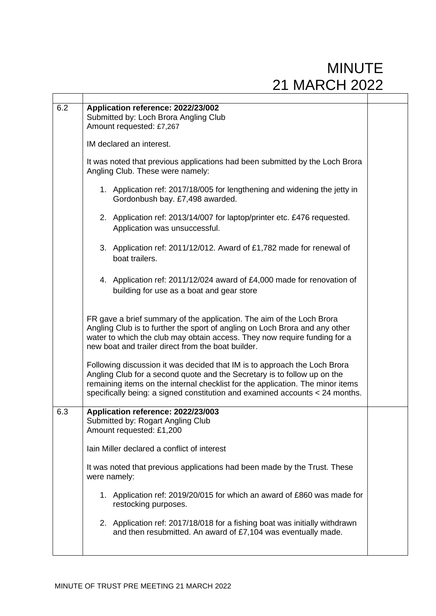| 6.2 | Application reference: 2022/23/002<br>Submitted by: Loch Brora Angling Club<br>Amount requested: £7,267<br>IM declared an interest.<br>It was noted that previous applications had been submitted by the Loch Brora<br>Angling Club. These were namely:                                                                 |  |
|-----|-------------------------------------------------------------------------------------------------------------------------------------------------------------------------------------------------------------------------------------------------------------------------------------------------------------------------|--|
|     |                                                                                                                                                                                                                                                                                                                         |  |
|     |                                                                                                                                                                                                                                                                                                                         |  |
|     | 1. Application ref: 2017/18/005 for lengthening and widening the jetty in<br>Gordonbush bay. £7,498 awarded.                                                                                                                                                                                                            |  |
|     | 2. Application ref: 2013/14/007 for laptop/printer etc. £476 requested.<br>Application was unsuccessful.                                                                                                                                                                                                                |  |
|     | 3. Application ref: 2011/12/012. Award of £1,782 made for renewal of<br>boat trailers.                                                                                                                                                                                                                                  |  |
|     | 4. Application ref: 2011/12/024 award of £4,000 made for renovation of<br>building for use as a boat and gear store                                                                                                                                                                                                     |  |
|     | FR gave a brief summary of the application. The aim of the Loch Brora<br>Angling Club is to further the sport of angling on Loch Brora and any other<br>water to which the club may obtain access. They now require funding for a<br>new boat and trailer direct from the boat builder.                                 |  |
|     | Following discussion it was decided that IM is to approach the Loch Brora<br>Angling Club for a second quote and the Secretary is to follow up on the<br>remaining items on the internal checklist for the application. The minor items<br>specifically being: a signed constitution and examined accounts < 24 months. |  |
| 6.3 | Application reference: 2022/23/003<br>Submitted by: Rogart Angling Club<br>Amount requested: £1,200                                                                                                                                                                                                                     |  |
|     | Iain Miller declared a conflict of interest                                                                                                                                                                                                                                                                             |  |
|     | It was noted that previous applications had been made by the Trust. These<br>were namely:                                                                                                                                                                                                                               |  |
|     | 1. Application ref: 2019/20/015 for which an award of £860 was made for<br>restocking purposes.                                                                                                                                                                                                                         |  |
|     | 2. Application ref: 2017/18/018 for a fishing boat was initially withdrawn<br>and then resubmitted. An award of £7,104 was eventually made.                                                                                                                                                                             |  |
|     |                                                                                                                                                                                                                                                                                                                         |  |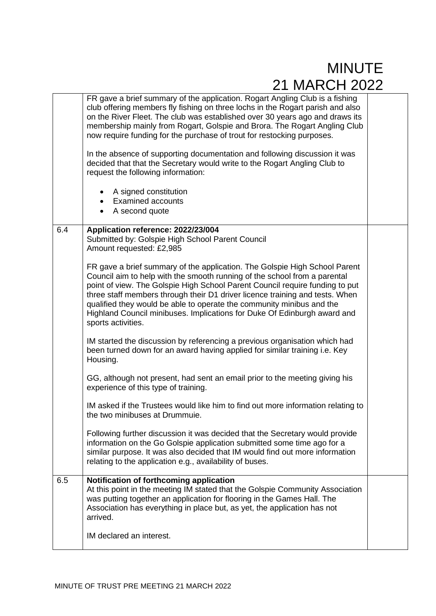|     | FR gave a brief summary of the application. Rogart Angling Club is a fishing<br>club offering members fly fishing on three lochs in the Rogart parish and also<br>on the River Fleet. The club was established over 30 years ago and draws its<br>membership mainly from Rogart, Golspie and Brora. The Rogart Angling Club<br>now require funding for the purchase of trout for restocking purposes.<br>In the absence of supporting documentation and following discussion it was                |  |
|-----|----------------------------------------------------------------------------------------------------------------------------------------------------------------------------------------------------------------------------------------------------------------------------------------------------------------------------------------------------------------------------------------------------------------------------------------------------------------------------------------------------|--|
|     | decided that that the Secretary would write to the Rogart Angling Club to<br>request the following information:                                                                                                                                                                                                                                                                                                                                                                                    |  |
|     | A signed constitution<br>$\bullet$<br><b>Examined accounts</b><br>$\bullet$<br>A second quote<br>$\bullet$                                                                                                                                                                                                                                                                                                                                                                                         |  |
| 6.4 | Application reference: 2022/23/004<br>Submitted by: Golspie High School Parent Council<br>Amount requested: £2,985                                                                                                                                                                                                                                                                                                                                                                                 |  |
|     | FR gave a brief summary of the application. The Golspie High School Parent<br>Council aim to help with the smooth running of the school from a parental<br>point of view. The Golspie High School Parent Council require funding to put<br>three staff members through their D1 driver licence training and tests. When<br>qualified they would be able to operate the community minibus and the<br>Highland Council minibuses. Implications for Duke Of Edinburgh award and<br>sports activities. |  |
|     | IM started the discussion by referencing a previous organisation which had<br>been turned down for an award having applied for similar training i.e. Key<br>Housing.                                                                                                                                                                                                                                                                                                                               |  |
|     | GG, although not present, had sent an email prior to the meeting giving his<br>experience of this type of training.                                                                                                                                                                                                                                                                                                                                                                                |  |
|     | IM asked if the Trustees would like him to find out more information relating to<br>the two minibuses at Drummuje.                                                                                                                                                                                                                                                                                                                                                                                 |  |
|     | Following further discussion it was decided that the Secretary would provide<br>information on the Go Golspie application submitted some time ago for a<br>similar purpose. It was also decided that IM would find out more information<br>relating to the application e.g., availability of buses.                                                                                                                                                                                                |  |
| 6.5 | Notification of forthcoming application<br>At this point in the meeting IM stated that the Golspie Community Association<br>was putting together an application for flooring in the Games Hall. The<br>Association has everything in place but, as yet, the application has not<br>arrived.                                                                                                                                                                                                        |  |
|     | IM declared an interest.                                                                                                                                                                                                                                                                                                                                                                                                                                                                           |  |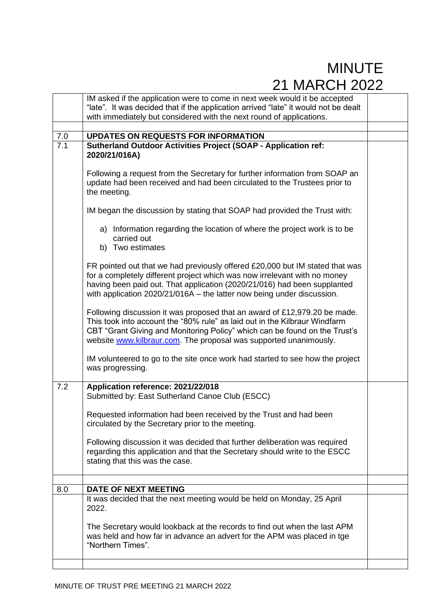|     | IM asked if the application were to come in next week would it be accepted                                                                                                                                                                                                                                      |  |
|-----|-----------------------------------------------------------------------------------------------------------------------------------------------------------------------------------------------------------------------------------------------------------------------------------------------------------------|--|
|     | "late". It was decided that if the application arrived "late" it would not be dealt                                                                                                                                                                                                                             |  |
|     | with immediately but considered with the next round of applications.                                                                                                                                                                                                                                            |  |
|     |                                                                                                                                                                                                                                                                                                                 |  |
| 7.0 | <b>UPDATES ON REQUESTS FOR INFORMATION</b>                                                                                                                                                                                                                                                                      |  |
| 7.1 | <b>Sutherland Outdoor Activities Project (SOAP - Application ref:</b><br>2020/21/016A)                                                                                                                                                                                                                          |  |
|     | Following a request from the Secretary for further information from SOAP an<br>update had been received and had been circulated to the Trustees prior to<br>the meeting.                                                                                                                                        |  |
|     | IM began the discussion by stating that SOAP had provided the Trust with:                                                                                                                                                                                                                                       |  |
|     | a) Information regarding the location of where the project work is to be<br>carried out<br>b) Two estimates                                                                                                                                                                                                     |  |
|     | FR pointed out that we had previously offered £20,000 but IM stated that was<br>for a completely different project which was now irrelevant with no money<br>having been paid out. That application (2020/21/016) had been supplanted<br>with application 2020/21/016A - the latter now being under discussion. |  |
|     | Following discussion it was proposed that an award of £12,979.20 be made.<br>This took into account the "80% rule" as laid out in the Kilbraur Windfarm<br>CBT "Grant Giving and Monitoring Policy" which can be found on the Trust's<br>website www.kilbraur.com. The proposal was supported unanimously.      |  |
|     | IM volunteered to go to the site once work had started to see how the project<br>was progressing.                                                                                                                                                                                                               |  |
| 7.2 | Application reference: 2021/22/018<br>Submitted by: East Sutherland Canoe Club (ESCC)                                                                                                                                                                                                                           |  |
|     | Requested information had been received by the Trust and had been<br>circulated by the Secretary prior to the meeting.                                                                                                                                                                                          |  |
|     | Following discussion it was decided that further deliberation was required<br>regarding this application and that the Secretary should write to the ESCC<br>stating that this was the case.                                                                                                                     |  |
|     |                                                                                                                                                                                                                                                                                                                 |  |
| 8.0 | <b>DATE OF NEXT MEETING</b>                                                                                                                                                                                                                                                                                     |  |
|     | It was decided that the next meeting would be held on Monday, 25 April<br>2022.                                                                                                                                                                                                                                 |  |
|     | The Secretary would lookback at the records to find out when the last APM<br>was held and how far in advance an advert for the APM was placed in tge<br>"Northern Times".                                                                                                                                       |  |
|     |                                                                                                                                                                                                                                                                                                                 |  |